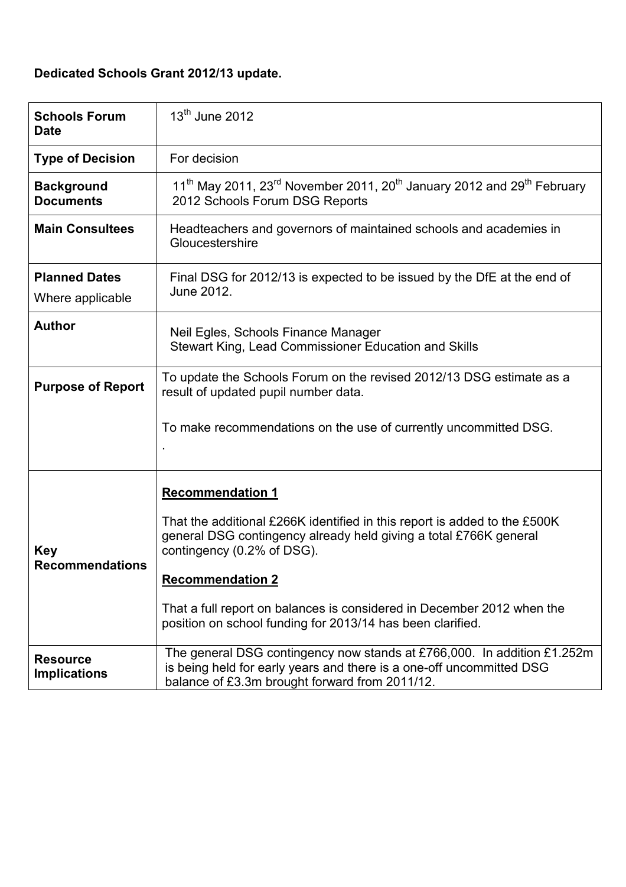# Dedicated Schools Grant 2012/13 update.

| <b>Schools Forum</b><br><b>Date</b>      | $13th$ June 2012                                                                                                                                                                                                                                                                                                                                                           |  |
|------------------------------------------|----------------------------------------------------------------------------------------------------------------------------------------------------------------------------------------------------------------------------------------------------------------------------------------------------------------------------------------------------------------------------|--|
| <b>Type of Decision</b>                  | For decision                                                                                                                                                                                                                                                                                                                                                               |  |
| <b>Background</b><br><b>Documents</b>    | 11 <sup>th</sup> May 2011, 23 <sup>rd</sup> November 2011, 20 <sup>th</sup> January 2012 and 29 <sup>th</sup> February<br>2012 Schools Forum DSG Reports                                                                                                                                                                                                                   |  |
| <b>Main Consultees</b>                   | Headteachers and governors of maintained schools and academies in<br>Gloucestershire                                                                                                                                                                                                                                                                                       |  |
| <b>Planned Dates</b><br>Where applicable | Final DSG for 2012/13 is expected to be issued by the DfE at the end of<br>June 2012.                                                                                                                                                                                                                                                                                      |  |
| <b>Author</b>                            | Neil Egles, Schools Finance Manager<br>Stewart King, Lead Commissioner Education and Skills                                                                                                                                                                                                                                                                                |  |
| <b>Purpose of Report</b>                 | To update the Schools Forum on the revised 2012/13 DSG estimate as a<br>result of updated pupil number data.                                                                                                                                                                                                                                                               |  |
|                                          | To make recommendations on the use of currently uncommitted DSG.                                                                                                                                                                                                                                                                                                           |  |
| <b>Key</b><br><b>Recommendations</b>     | <b>Recommendation 1</b><br>That the additional £266K identified in this report is added to the £500K<br>general DSG contingency already held giving a total £766K general<br>contingency (0.2% of DSG).<br><b>Recommendation 2</b><br>That a full report on balances is considered in December 2012 when the<br>position on school funding for 2013/14 has been clarified. |  |
| <b>Resource</b><br><b>Implications</b>   | The general DSG contingency now stands at £766,000. In addition £1.252m<br>is being held for early years and there is a one-off uncommitted DSG<br>balance of £3.3m brought forward from 2011/12.                                                                                                                                                                          |  |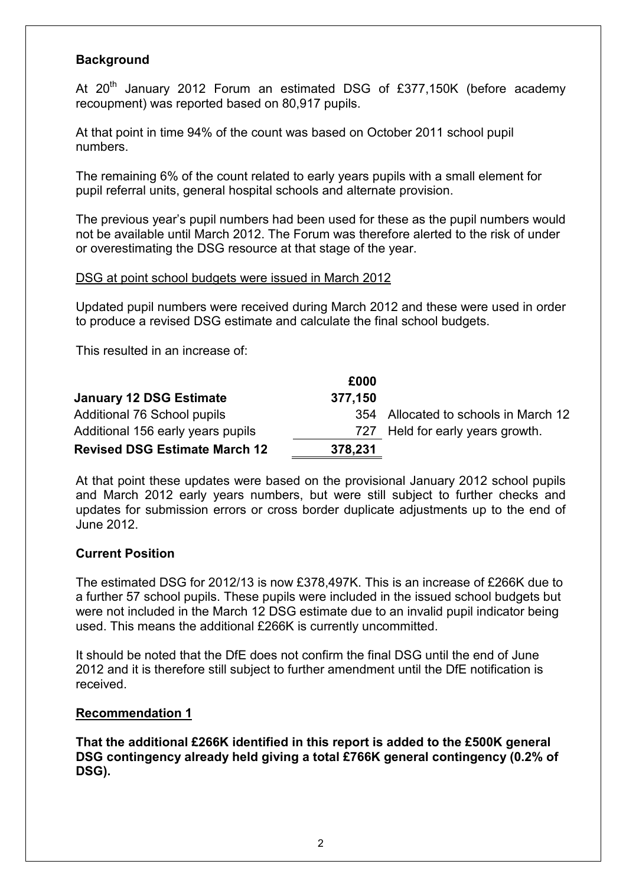## **Background**

At  $20<sup>th</sup>$  January 2012 Forum an estimated DSG of £377,150K (before academy recoupment) was reported based on 80,917 pupils.

At that point in time 94% of the count was based on October 2011 school pupil numbers.

The remaining 6% of the count related to early years pupils with a small element for pupil referral units, general hospital schools and alternate provision.

The previous year's pupil numbers had been used for these as the pupil numbers would not be available until March 2012. The Forum was therefore alerted to the risk of under or overestimating the DSG resource at that stage of the year.

#### DSG at point school budgets were issued in March 2012

Updated pupil numbers were received during March 2012 and these were used in order to produce a revised DSG estimate and calculate the final school budgets.

This resulted in an increase of:

|                                      | £000    |                                      |
|--------------------------------------|---------|--------------------------------------|
| <b>January 12 DSG Estimate</b>       | 377,150 |                                      |
| Additional 76 School pupils          |         | 354 Allocated to schools in March 12 |
| Additional 156 early years pupils    |         | 727 Held for early years growth.     |
| <b>Revised DSG Estimate March 12</b> | 378,231 |                                      |

At that point these updates were based on the provisional January 2012 school pupils and March 2012 early years numbers, but were still subject to further checks and updates for submission errors or cross border duplicate adjustments up to the end of June 2012.

## Current Position

The estimated DSG for 2012/13 is now £378,497K. This is an increase of £266K due to a further 57 school pupils. These pupils were included in the issued school budgets but were not included in the March 12 DSG estimate due to an invalid pupil indicator being used. This means the additional £266K is currently uncommitted.

It should be noted that the DfE does not confirm the final DSG until the end of June 2012 and it is therefore still subject to further amendment until the DfE notification is received.

#### Recommendation 1

That the additional £266K identified in this report is added to the £500K general DSG contingency already held giving a total £766K general contingency (0.2% of DSG).